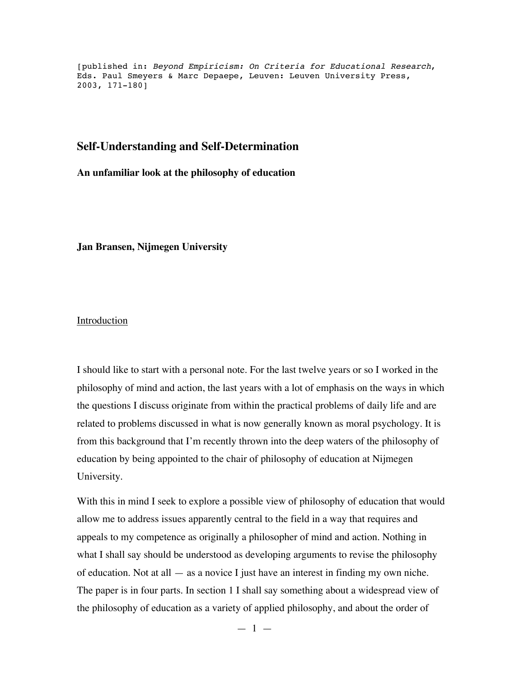[published in: Beyond Empiricism: On Criteria for Educational Research, Eds. Paul Smeyers & Marc Depaepe, Leuven: Leuven University Press, 2003, 171-180]

## **Self-Understanding and Self-Determination**

**An unfamiliar look at the philosophy of education**

**Jan Bransen, Nijmegen University**

**Introduction** 

I should like to start with a personal note. For the last twelve years or so I worked in the philosophy of mind and action, the last years with a lot of emphasis on the ways in which the questions I discuss originate from within the practical problems of daily life and are related to problems discussed in what is now generally known as moral psychology. It is from this background that I'm recently thrown into the deep waters of the philosophy of education by being appointed to the chair of philosophy of education at Nijmegen University.

With this in mind I seek to explore a possible view of philosophy of education that would allow me to address issues apparently central to the field in a way that requires and appeals to my competence as originally a philosopher of mind and action. Nothing in what I shall say should be understood as developing arguments to revise the philosophy of education. Not at all — as a novice I just have an interest in finding my own niche. The paper is in four parts. In section 1 I shall say something about a widespread view of the philosophy of education as a variety of applied philosophy, and about the order of

 $-1 -$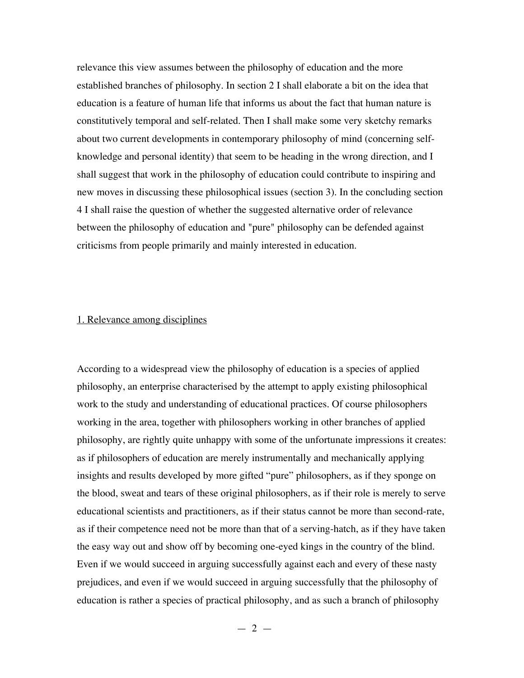relevance this view assumes between the philosophy of education and the more established branches of philosophy. In section 2 I shall elaborate a bit on the idea that education is a feature of human life that informs us about the fact that human nature is constitutively temporal and self-related. Then I shall make some very sketchy remarks about two current developments in contemporary philosophy of mind (concerning selfknowledge and personal identity) that seem to be heading in the wrong direction, and I shall suggest that work in the philosophy of education could contribute to inspiring and new moves in discussing these philosophical issues (section 3). In the concluding section 4 I shall raise the question of whether the suggested alternative order of relevance between the philosophy of education and "pure" philosophy can be defended against criticisms from people primarily and mainly interested in education.

## 1. Relevance among disciplines

According to a widespread view the philosophy of education is a species of applied philosophy, an enterprise characterised by the attempt to apply existing philosophical work to the study and understanding of educational practices. Of course philosophers working in the area, together with philosophers working in other branches of applied philosophy, are rightly quite unhappy with some of the unfortunate impressions it creates: as if philosophers of education are merely instrumentally and mechanically applying insights and results developed by more gifted "pure" philosophers, as if they sponge on the blood, sweat and tears of these original philosophers, as if their role is merely to serve educational scientists and practitioners, as if their status cannot be more than second-rate, as if their competence need not be more than that of a serving-hatch, as if they have taken the easy way out and show off by becoming one-eyed kings in the country of the blind. Even if we would succeed in arguing successfully against each and every of these nasty prejudices, and even if we would succeed in arguing successfully that the philosophy of education is rather a species of practical philosophy, and as such a branch of philosophy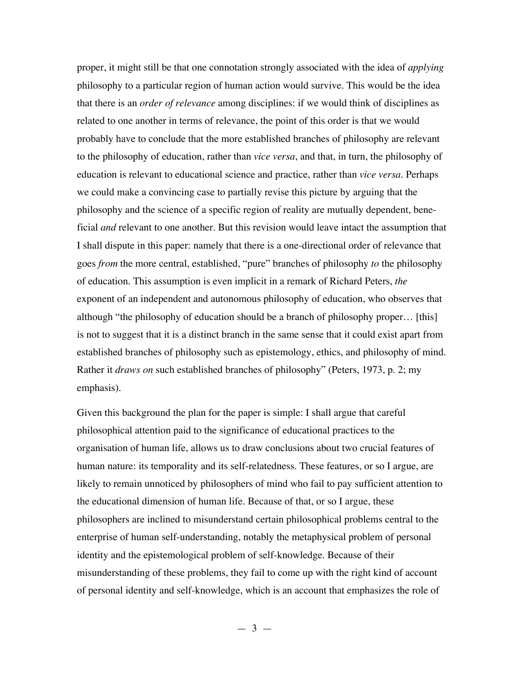proper, it might still be that one connotation strongly associated with the idea of *applying* philosophy to a particular region of human action would survive. This would be the idea that there is an *order of relevance* among disciplines: if we would think of disciplines as related to one another in terms of relevance, the point of this order is that we would probably have to conclude that the more established branches of philosophy are relevant to the philosophy of education, rather than *vice versa*, and that, in turn, the philosophy of education is relevant to educational science and practice, rather than *vice versa*. Perhaps we could make a convincing case to partially revise this picture by arguing that the philosophy and the science of a specific region of reality are mutually dependent, beneficial *and* relevant to one another. But this revision would leave intact the assumption that I shall dispute in this paper: namely that there is a one-directional order of relevance that goes *from* the more central, established, "pure" branches of philosophy *to* the philosophy of education. This assumption is even implicit in a remark of Richard Peters, *the* exponent of an independent and autonomous philosophy of education, who observes that although "the philosophy of education should be a branch of philosophy proper… [this] is not to suggest that it is a distinct branch in the same sense that it could exist apart from established branches of philosophy such as epistemology, ethics, and philosophy of mind. Rather it *draws on* such established branches of philosophy" (Peters, 1973, p. 2; my emphasis).

Given this background the plan for the paper is simple: I shall argue that careful philosophical attention paid to the significance of educational practices to the organisation of human life, allows us to draw conclusions about two crucial features of human nature: its temporality and its self-relatedness. These features, or so I argue, are likely to remain unnoticed by philosophers of mind who fail to pay sufficient attention to the educational dimension of human life. Because of that, or so I argue, these philosophers are inclined to misunderstand certain philosophical problems central to the enterprise of human self-understanding, notably the metaphysical problem of personal identity and the epistemological problem of self-knowledge. Because of their misunderstanding of these problems, they fail to come up with the right kind of account of personal identity and self-knowledge, which is an account that emphasizes the role of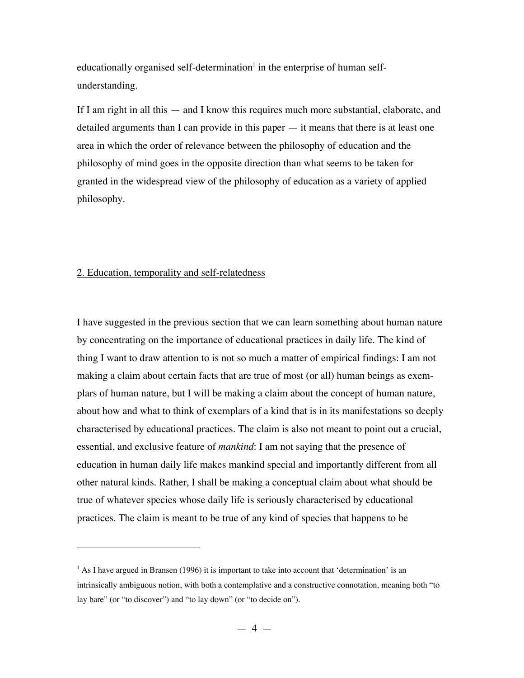educationally organised self-determination<sup>1</sup> in the enterprise of human selfunderstanding.

If I am right in all this — and I know this requires much more substantial, elaborate, and detailed arguments than I can provide in this paper — it means that there is at least one area in which the order of relevance between the philosophy of education and the philosophy of mind goes in the opposite direction than what seems to be taken for granted in the widespread view of the philosophy of education as a variety of applied philosophy.

### 2. Education, temporality and self-relatedness

 $\overline{a}$ 

I have suggested in the previous section that we can learn something about human nature by concentrating on the importance of educational practices in daily life. The kind of thing I want to draw attention to is not so much a matter of empirical findings: I am not making a claim about certain facts that are true of most (or all) human beings as exemplars of human nature, but I will be making a claim about the concept of human nature, about how and what to think of exemplars of a kind that is in its manifestations so deeply characterised by educational practices. The claim is also not meant to point out a crucial, essential, and exclusive feature of *mankind*: I am not saying that the presence of education in human daily life makes mankind special and importantly different from all other natural kinds. Rather, I shall be making a conceptual claim about what should be true of whatever species whose daily life is seriously characterised by educational practices. The claim is meant to be true of any kind of species that happens to be

 $<sup>1</sup>$  As I have argued in Bransen (1996) it is important to take into account that 'determination' is an</sup> intrinsically ambiguous notion, with both a contemplative and a constructive connotation, meaning both "to lay bare" (or "to discover") and "to lay down" (or "to decide on").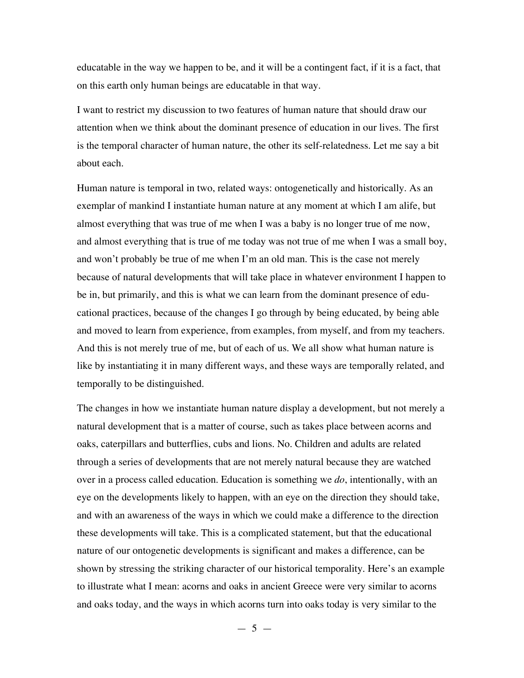educatable in the way we happen to be, and it will be a contingent fact, if it is a fact, that on this earth only human beings are educatable in that way.

I want to restrict my discussion to two features of human nature that should draw our attention when we think about the dominant presence of education in our lives. The first is the temporal character of human nature, the other its self-relatedness. Let me say a bit about each.

Human nature is temporal in two, related ways: ontogenetically and historically. As an exemplar of mankind I instantiate human nature at any moment at which I am alife, but almost everything that was true of me when I was a baby is no longer true of me now, and almost everything that is true of me today was not true of me when I was a small boy, and won't probably be true of me when I'm an old man. This is the case not merely because of natural developments that will take place in whatever environment I happen to be in, but primarily, and this is what we can learn from the dominant presence of educational practices, because of the changes I go through by being educated, by being able and moved to learn from experience, from examples, from myself, and from my teachers. And this is not merely true of me, but of each of us. We all show what human nature is like by instantiating it in many different ways, and these ways are temporally related, and temporally to be distinguished.

The changes in how we instantiate human nature display a development, but not merely a natural development that is a matter of course, such as takes place between acorns and oaks, caterpillars and butterflies, cubs and lions. No. Children and adults are related through a series of developments that are not merely natural because they are watched over in a process called education. Education is something we *do*, intentionally, with an eye on the developments likely to happen, with an eye on the direction they should take, and with an awareness of the ways in which we could make a difference to the direction these developments will take. This is a complicated statement, but that the educational nature of our ontogenetic developments is significant and makes a difference, can be shown by stressing the striking character of our historical temporality. Here's an example to illustrate what I mean: acorns and oaks in ancient Greece were very similar to acorns and oaks today, and the ways in which acorns turn into oaks today is very similar to the

 $-5 -$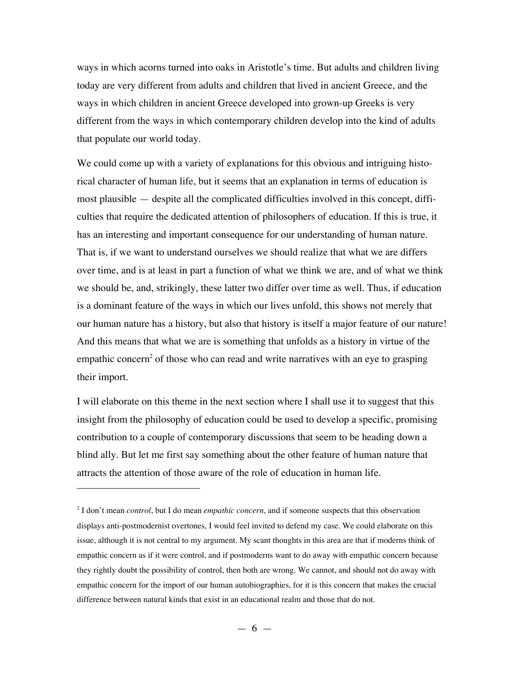ways in which acorns turned into oaks in Aristotle's time. But adults and children living today are very different from adults and children that lived in ancient Greece, and the ways in which children in ancient Greece developed into grown-up Greeks is very different from the ways in which contemporary children develop into the kind of adults that populate our world today.

We could come up with a variety of explanations for this obvious and intriguing historical character of human life, but it seems that an explanation in terms of education is most plausible — despite all the complicated difficulties involved in this concept, difficulties that require the dedicated attention of philosophers of education. If this is true, it has an interesting and important consequence for our understanding of human nature. That is, if we want to understand ourselves we should realize that what we are differs over time, and is at least in part a function of what we think we are, and of what we think we should be, and, strikingly, these latter two differ over time as well. Thus, if education is a dominant feature of the ways in which our lives unfold, this shows not merely that our human nature has a history, but also that history is itself a major feature of our nature! And this means that what we are is something that unfolds as a history in virtue of the empathic concern<sup>2</sup> of those who can read and write narratives with an eye to grasping their import.

I will elaborate on this theme in the next section where I shall use it to suggest that this insight from the philosophy of education could be used to develop a specific, promising contribution to a couple of contemporary discussions that seem to be heading down a blind ally. But let me first say something about the other feature of human nature that attracts the attention of those aware of the role of education in human life.

 $\overline{a}$ 

<sup>2</sup> I don't mean *control*, but I do mean *empathic concern*, and if someone suspects that this observation displays anti-postmodernist overtones, I would feel invited to defend my case. We could elaborate on this issue, although it is not central to my argument. My scant thoughts in this area are that if moderns think of empathic concern as if it were control, and if postmoderns want to do away with empathic concern because they rightly doubt the possibility of control, then both are wrong. We cannot, and should not do away with empathic concern for the import of our human autobiographies, for it is this concern that makes the crucial difference between natural kinds that exist in an educational realm and those that do not.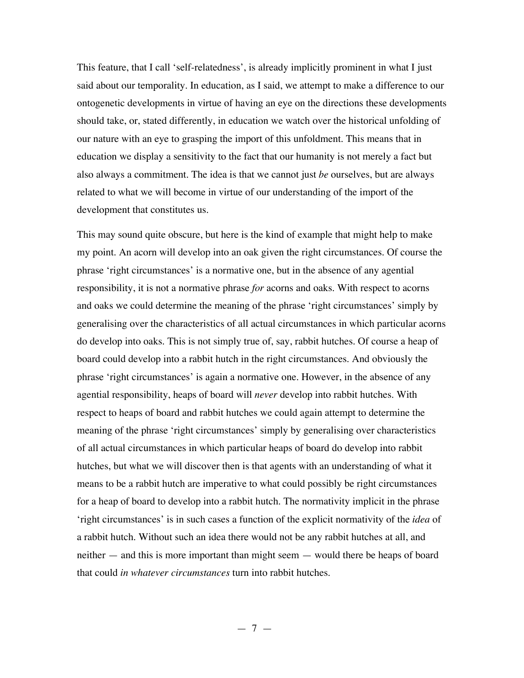This feature, that I call 'self-relatedness', is already implicitly prominent in what I just said about our temporality. In education, as I said, we attempt to make a difference to our ontogenetic developments in virtue of having an eye on the directions these developments should take, or, stated differently, in education we watch over the historical unfolding of our nature with an eye to grasping the import of this unfoldment. This means that in education we display a sensitivity to the fact that our humanity is not merely a fact but also always a commitment. The idea is that we cannot just *be* ourselves, but are always related to what we will become in virtue of our understanding of the import of the development that constitutes us.

This may sound quite obscure, but here is the kind of example that might help to make my point. An acorn will develop into an oak given the right circumstances. Of course the phrase 'right circumstances' is a normative one, but in the absence of any agential responsibility, it is not a normative phrase *for* acorns and oaks. With respect to acorns and oaks we could determine the meaning of the phrase 'right circumstances' simply by generalising over the characteristics of all actual circumstances in which particular acorns do develop into oaks. This is not simply true of, say, rabbit hutches. Of course a heap of board could develop into a rabbit hutch in the right circumstances. And obviously the phrase 'right circumstances' is again a normative one. However, in the absence of any agential responsibility, heaps of board will *never* develop into rabbit hutches. With respect to heaps of board and rabbit hutches we could again attempt to determine the meaning of the phrase 'right circumstances' simply by generalising over characteristics of all actual circumstances in which particular heaps of board do develop into rabbit hutches, but what we will discover then is that agents with an understanding of what it means to be a rabbit hutch are imperative to what could possibly be right circumstances for a heap of board to develop into a rabbit hutch. The normativity implicit in the phrase 'right circumstances' is in such cases a function of the explicit normativity of the *idea* of a rabbit hutch. Without such an idea there would not be any rabbit hutches at all, and neither — and this is more important than might seem — would there be heaps of board that could *in whatever circumstances* turn into rabbit hutches.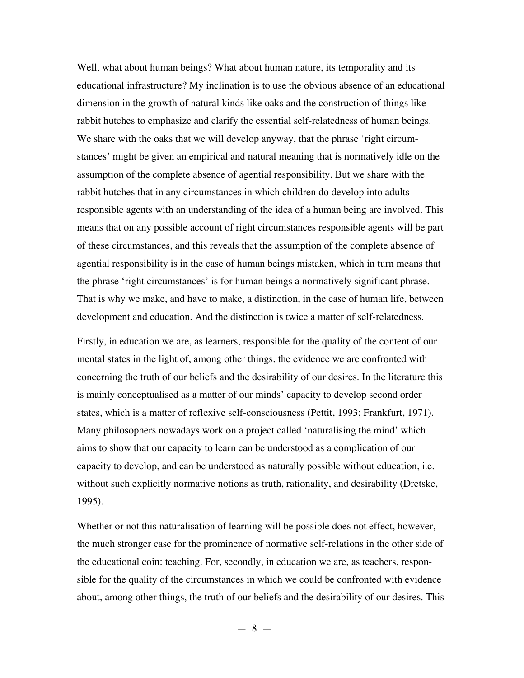Well, what about human beings? What about human nature, its temporality and its educational infrastructure? My inclination is to use the obvious absence of an educational dimension in the growth of natural kinds like oaks and the construction of things like rabbit hutches to emphasize and clarify the essential self-relatedness of human beings. We share with the oaks that we will develop anyway, that the phrase 'right circumstances' might be given an empirical and natural meaning that is normatively idle on the assumption of the complete absence of agential responsibility. But we share with the rabbit hutches that in any circumstances in which children do develop into adults responsible agents with an understanding of the idea of a human being are involved. This means that on any possible account of right circumstances responsible agents will be part of these circumstances, and this reveals that the assumption of the complete absence of agential responsibility is in the case of human beings mistaken, which in turn means that the phrase 'right circumstances' is for human beings a normatively significant phrase. That is why we make, and have to make, a distinction, in the case of human life, between development and education. And the distinction is twice a matter of self-relatedness.

Firstly, in education we are, as learners, responsible for the quality of the content of our mental states in the light of, among other things, the evidence we are confronted with concerning the truth of our beliefs and the desirability of our desires. In the literature this is mainly conceptualised as a matter of our minds' capacity to develop second order states, which is a matter of reflexive self-consciousness (Pettit, 1993; Frankfurt, 1971). Many philosophers nowadays work on a project called 'naturalising the mind' which aims to show that our capacity to learn can be understood as a complication of our capacity to develop, and can be understood as naturally possible without education, i.e. without such explicitly normative notions as truth, rationality, and desirability (Dretske, 1995).

Whether or not this naturalisation of learning will be possible does not effect, however, the much stronger case for the prominence of normative self-relations in the other side of the educational coin: teaching. For, secondly, in education we are, as teachers, responsible for the quality of the circumstances in which we could be confronted with evidence about, among other things, the truth of our beliefs and the desirability of our desires. This

 $-8 -$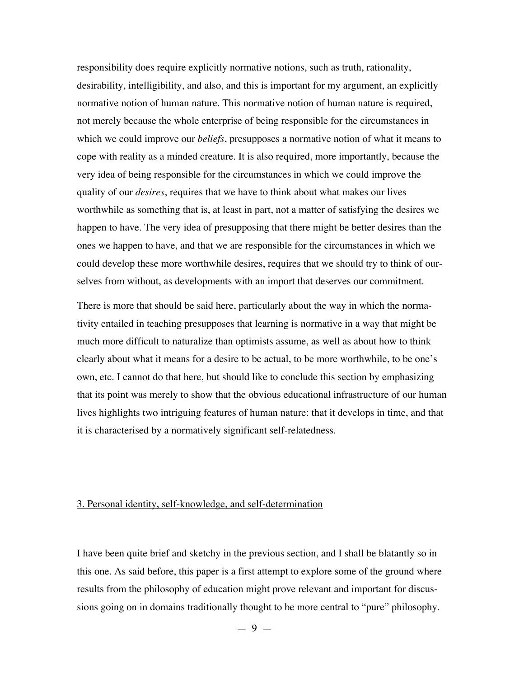responsibility does require explicitly normative notions, such as truth, rationality, desirability, intelligibility, and also, and this is important for my argument, an explicitly normative notion of human nature. This normative notion of human nature is required, not merely because the whole enterprise of being responsible for the circumstances in which we could improve our *beliefs*, presupposes a normative notion of what it means to cope with reality as a minded creature. It is also required, more importantly, because the very idea of being responsible for the circumstances in which we could improve the quality of our *desires*, requires that we have to think about what makes our lives worthwhile as something that is, at least in part, not a matter of satisfying the desires we happen to have. The very idea of presupposing that there might be better desires than the ones we happen to have, and that we are responsible for the circumstances in which we could develop these more worthwhile desires, requires that we should try to think of ourselves from without, as developments with an import that deserves our commitment.

There is more that should be said here, particularly about the way in which the normativity entailed in teaching presupposes that learning is normative in a way that might be much more difficult to naturalize than optimists assume, as well as about how to think clearly about what it means for a desire to be actual, to be more worthwhile, to be one's own, etc. I cannot do that here, but should like to conclude this section by emphasizing that its point was merely to show that the obvious educational infrastructure of our human lives highlights two intriguing features of human nature: that it develops in time, and that it is characterised by a normatively significant self-relatedness.

# 3. Personal identity, self-knowledge, and self-determination

I have been quite brief and sketchy in the previous section, and I shall be blatantly so in this one. As said before, this paper is a first attempt to explore some of the ground where results from the philosophy of education might prove relevant and important for discussions going on in domains traditionally thought to be more central to "pure" philosophy.

 $-9 -$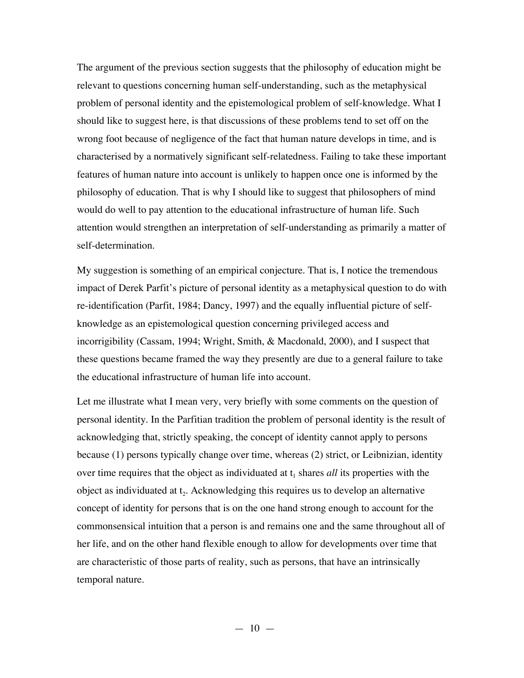The argument of the previous section suggests that the philosophy of education might be relevant to questions concerning human self-understanding, such as the metaphysical problem of personal identity and the epistemological problem of self-knowledge. What I should like to suggest here, is that discussions of these problems tend to set off on the wrong foot because of negligence of the fact that human nature develops in time, and is characterised by a normatively significant self-relatedness. Failing to take these important features of human nature into account is unlikely to happen once one is informed by the philosophy of education. That is why I should like to suggest that philosophers of mind would do well to pay attention to the educational infrastructure of human life. Such attention would strengthen an interpretation of self-understanding as primarily a matter of self-determination.

My suggestion is something of an empirical conjecture. That is, I notice the tremendous impact of Derek Parfit's picture of personal identity as a metaphysical question to do with re-identification (Parfit, 1984; Dancy, 1997) and the equally influential picture of selfknowledge as an epistemological question concerning privileged access and incorrigibility (Cassam, 1994; Wright, Smith, & Macdonald, 2000), and I suspect that these questions became framed the way they presently are due to a general failure to take the educational infrastructure of human life into account.

Let me illustrate what I mean very, very briefly with some comments on the question of personal identity. In the Parfitian tradition the problem of personal identity is the result of acknowledging that, strictly speaking, the concept of identity cannot apply to persons because (1) persons typically change over time, whereas (2) strict, or Leibnizian, identity over time requires that the object as individuated at  $t_1$  shares *all* its properties with the object as individuated at  $t<sub>2</sub>$ . Acknowledging this requires us to develop an alternative concept of identity for persons that is on the one hand strong enough to account for the commonsensical intuition that a person is and remains one and the same throughout all of her life, and on the other hand flexible enough to allow for developments over time that are characteristic of those parts of reality, such as persons, that have an intrinsically temporal nature.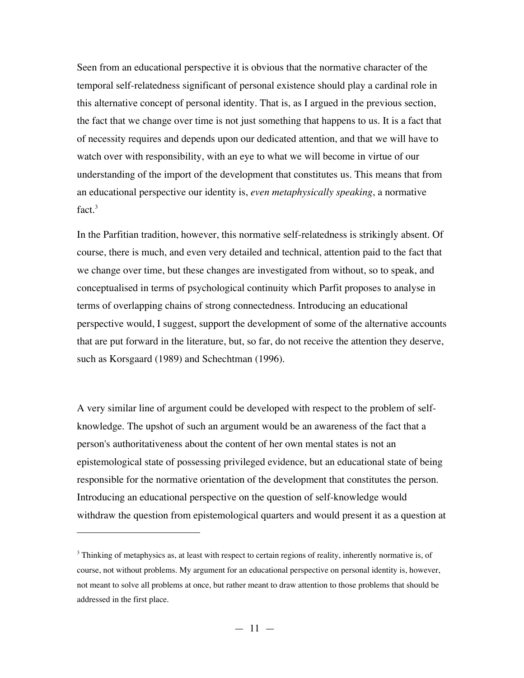Seen from an educational perspective it is obvious that the normative character of the temporal self-relatedness significant of personal existence should play a cardinal role in this alternative concept of personal identity. That is, as I argued in the previous section, the fact that we change over time is not just something that happens to us. It is a fact that of necessity requires and depends upon our dedicated attention, and that we will have to watch over with responsibility, with an eye to what we will become in virtue of our understanding of the import of the development that constitutes us. This means that from an educational perspective our identity is, *even metaphysically speaking*, a normative fact. $3$ 

In the Parfitian tradition, however, this normative self-relatedness is strikingly absent. Of course, there is much, and even very detailed and technical, attention paid to the fact that we change over time, but these changes are investigated from without, so to speak, and conceptualised in terms of psychological continuity which Parfit proposes to analyse in terms of overlapping chains of strong connectedness. Introducing an educational perspective would, I suggest, support the development of some of the alternative accounts that are put forward in the literature, but, so far, do not receive the attention they deserve, such as Korsgaard (1989) and Schechtman (1996).

A very similar line of argument could be developed with respect to the problem of selfknowledge. The upshot of such an argument would be an awareness of the fact that a person's authoritativeness about the content of her own mental states is not an epistemological state of possessing privileged evidence, but an educational state of being responsible for the normative orientation of the development that constitutes the person. Introducing an educational perspective on the question of self-knowledge would withdraw the question from epistemological quarters and would present it as a question at

 $\overline{a}$ 

 $3$  Thinking of metaphysics as, at least with respect to certain regions of reality, inherently normative is, of course, not without problems. My argument for an educational perspective on personal identity is, however, not meant to solve all problems at once, but rather meant to draw attention to those problems that should be addressed in the first place.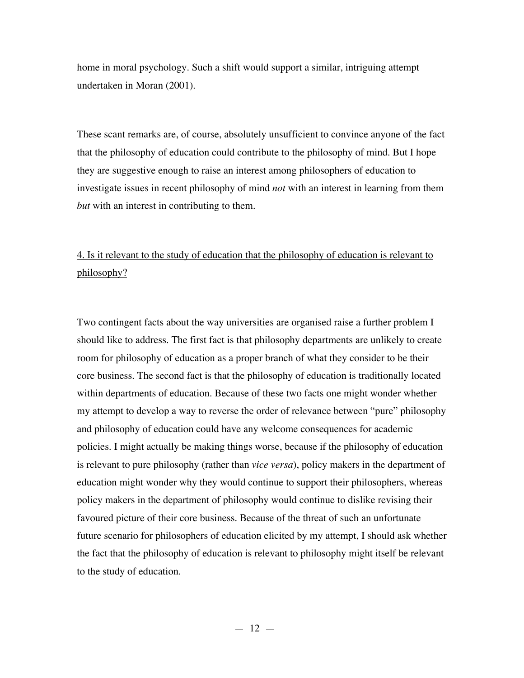home in moral psychology. Such a shift would support a similar, intriguing attempt undertaken in Moran (2001).

These scant remarks are, of course, absolutely unsufficient to convince anyone of the fact that the philosophy of education could contribute to the philosophy of mind. But I hope they are suggestive enough to raise an interest among philosophers of education to investigate issues in recent philosophy of mind *not* with an interest in learning from them *but* with an interest in contributing to them.

# 4. Is it relevant to the study of education that the philosophy of education is relevant to philosophy?

Two contingent facts about the way universities are organised raise a further problem I should like to address. The first fact is that philosophy departments are unlikely to create room for philosophy of education as a proper branch of what they consider to be their core business. The second fact is that the philosophy of education is traditionally located within departments of education. Because of these two facts one might wonder whether my attempt to develop a way to reverse the order of relevance between "pure" philosophy and philosophy of education could have any welcome consequences for academic policies. I might actually be making things worse, because if the philosophy of education is relevant to pure philosophy (rather than *vice versa*), policy makers in the department of education might wonder why they would continue to support their philosophers, whereas policy makers in the department of philosophy would continue to dislike revising their favoured picture of their core business. Because of the threat of such an unfortunate future scenario for philosophers of education elicited by my attempt, I should ask whether the fact that the philosophy of education is relevant to philosophy might itself be relevant to the study of education.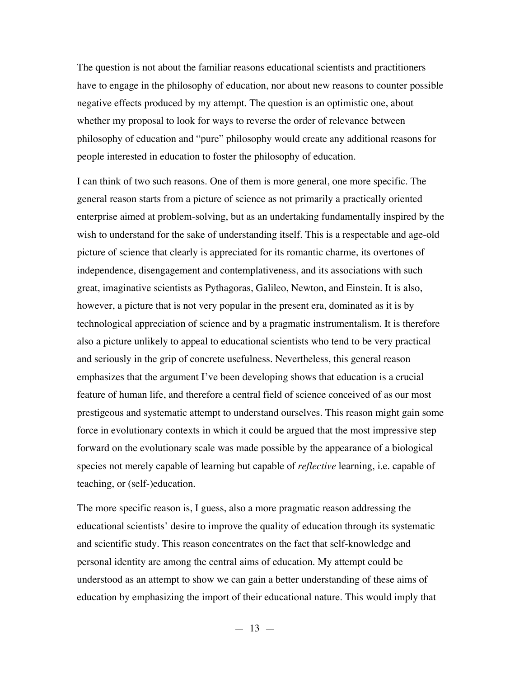The question is not about the familiar reasons educational scientists and practitioners have to engage in the philosophy of education, nor about new reasons to counter possible negative effects produced by my attempt. The question is an optimistic one, about whether my proposal to look for ways to reverse the order of relevance between philosophy of education and "pure" philosophy would create any additional reasons for people interested in education to foster the philosophy of education.

I can think of two such reasons. One of them is more general, one more specific. The general reason starts from a picture of science as not primarily a practically oriented enterprise aimed at problem-solving, but as an undertaking fundamentally inspired by the wish to understand for the sake of understanding itself. This is a respectable and age-old picture of science that clearly is appreciated for its romantic charme, its overtones of independence, disengagement and contemplativeness, and its associations with such great, imaginative scientists as Pythagoras, Galileo, Newton, and Einstein. It is also, however, a picture that is not very popular in the present era, dominated as it is by technological appreciation of science and by a pragmatic instrumentalism. It is therefore also a picture unlikely to appeal to educational scientists who tend to be very practical and seriously in the grip of concrete usefulness. Nevertheless, this general reason emphasizes that the argument I've been developing shows that education is a crucial feature of human life, and therefore a central field of science conceived of as our most prestigeous and systematic attempt to understand ourselves. This reason might gain some force in evolutionary contexts in which it could be argued that the most impressive step forward on the evolutionary scale was made possible by the appearance of a biological species not merely capable of learning but capable of *reflective* learning, i.e. capable of teaching, or (self-)education.

The more specific reason is, I guess, also a more pragmatic reason addressing the educational scientists' desire to improve the quality of education through its systematic and scientific study. This reason concentrates on the fact that self-knowledge and personal identity are among the central aims of education. My attempt could be understood as an attempt to show we can gain a better understanding of these aims of education by emphasizing the import of their educational nature. This would imply that

 $-13 -$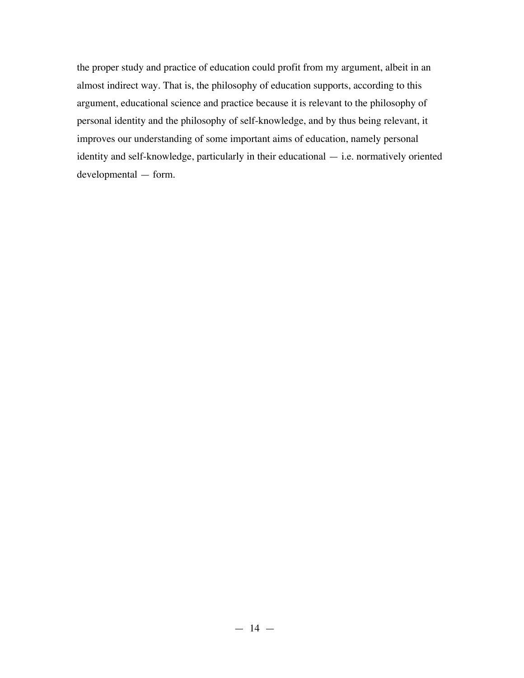the proper study and practice of education could profit from my argument, albeit in an almost indirect way. That is, the philosophy of education supports, according to this argument, educational science and practice because it is relevant to the philosophy of personal identity and the philosophy of self-knowledge, and by thus being relevant, it improves our understanding of some important aims of education, namely personal identity and self-knowledge, particularly in their educational — i.e. normatively oriented developmental — form.